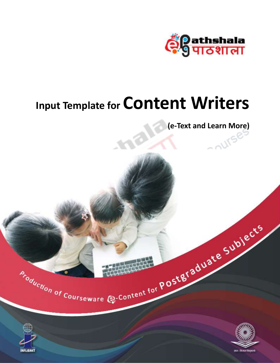

# **Input Template for Content Writers**

**(e-Text and Learn More)**



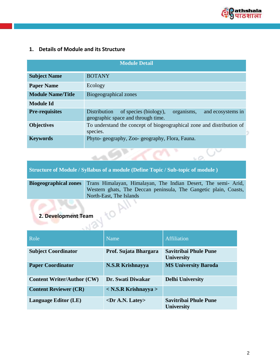

v

 $50$ 

# **1. Details of Module and its Structure**

| <b>Module Detail</b>     |                                                                                                                |  |  |
|--------------------------|----------------------------------------------------------------------------------------------------------------|--|--|
| <b>Subject Name</b>      | <b>BOTANY</b>                                                                                                  |  |  |
| <b>Paper Name</b>        | Ecology                                                                                                        |  |  |
| <b>Module Name/Title</b> | Biogeographical zones                                                                                          |  |  |
| <b>Module Id</b>         |                                                                                                                |  |  |
| <b>Pre-requisites</b>    | and ecosystems in<br>Distribution<br>of species (biology),<br>organisms,<br>geographic space and through time. |  |  |
| <b>Objectives</b>        | To understand the concept of biogeographical zone and distribution of<br>species.                              |  |  |
| <b>Keywords</b>          | Phyto-geography, Zoo-geography, Flora, Fauna.                                                                  |  |  |

### **Structure of Module / Syllabus of a module (Define Topic / Sub-topic of module )**

| Biogeographical zones Trans Himalayan, Himalayan, The Indian Desert, The semi-Arid,         |
|---------------------------------------------------------------------------------------------|
| Western ghats, The Deccan peninsula, The Gangetic plain, Coasts,<br>North-East, The Islands |

## **2. Development Team**

| Role                              | Name                           | Affiliation                                       |
|-----------------------------------|--------------------------------|---------------------------------------------------|
| <b>Subject Coordinator</b>        | Prof. Sujata Bhargara          | <b>Savitribai Phule Pune</b><br><b>University</b> |
| <b>Paper Coordinator</b>          | <b>N.S.R Krishnayya</b>        | <b>MS University Baroda</b>                       |
| <b>Content Writer/Author (CW)</b> | Dr. Swati Diwakar              | <b>Delhi University</b>                           |
| <b>Content Reviewer (CR)</b>      | $\langle$ N.S.R Krishnayya $>$ |                                                   |
| <b>Language Editor (LE)</b>       | $\langle$ Dr A.N. Latey>       | Savitribai Phule Pune<br><b>University</b>        |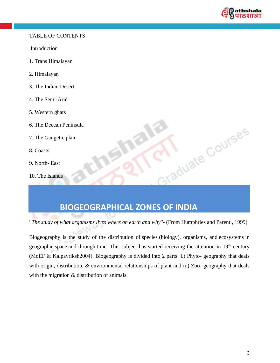

I Courses

#### TABLE OF CONTENTS

Introduction

- 1. Trans Himalayan
- 2. Himalayan
- 3. The Indian Desert
- 4. The Semi-Arid
- 5. Western ghats
- 6. The Deccan Peninsula
- 7. The Gangetic plain
- 8. Coasts
- 9. North- East
- 10. The Islands

# **BIOGEOGRAPHICAL ZONES OF INDIA**

"*The study of what organisms lives where on earth and why*"- (From Humphries and Parenti, 1999)

Biogeography is the study of the distribution of [species](http://en.wikipedia.org/wiki/Species) [\(biology\)](http://en.wikipedia.org/wiki/Biology), [organisms,](http://en.wikipedia.org/wiki/Organisms) and [ecosystems](http://en.wikipedia.org/wiki/Ecosystems) in geographic [space](http://en.wikipedia.org/wiki/Geography) and through time. This subject has started receiving the attention in 19<sup>th</sup> century (MoEF & Kalpavriksh2004). Biogeography is divided into 2 parts: i.) Phyto- geography that deals with origin, distribution, & environmental relationships of plant and ii.) Zoo- geography that deals with the migration  $&$  distribution of animals.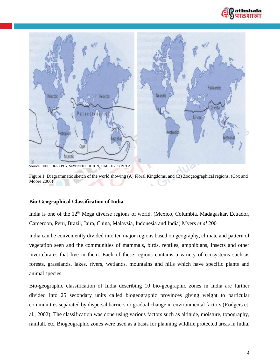



Figure 1: Diagrammatic sketch of the world showing (A) Floral Kingdoms, and (B) Zoogeographical regions, (Cox and Moore 2006)

#### **Bio-Geographical Classification of India**

India is one of the 12<sup>th</sup> Mega diverse regions of world. (Mexico, Columbia, Madagaskar, Ecuador, Cameroon, Peru, Brazil, Jaira, China, Malaysia, Indonesia and India) Myers *et al* 2001.

India can be conveniently divided into ten major regions based on geography, climate and pattern of vegetation seen and the communities of mammals, birds, reptiles, amphibians, insects and other invertebrates that live in them. Each of these regions contains a variety of ecosystems such as forests, grasslands, lakes, rivers, wetlands, mountains and hills which have specific plants and animal species.

Bio-geographic classification of India describing 10 bio-geographic zones in India are further divided into 25 secondary units called biogeographic provinces giving weight to particular communities separated by dispersal barriers or gradual change in environmental factors (Rodgers et. al., 2002). The classification was done using various factors such as altitude, moisture, topography, rainfall, etc. Biogeographic zones were used as a basis for planning wildlife protected areas in India.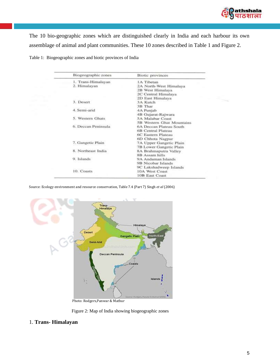

The 10 bio-geographic zones which are distinguished clearly in India and each harbour its own assemblage of animal and plant communities. These 10 zones described in Table 1 and Figure 2.

|            | Biogeographic zones | Biotic provinces          |
|------------|---------------------|---------------------------|
|            | 1. Trans-Himalayan  | <b>1A</b> Tibetan         |
|            | 2. Himalayan        | 2A North-West Himalaya    |
|            |                     | 2B West Himalaya          |
|            |                     | 2C Central Himalaya       |
|            |                     | 2D East Himalaya          |
|            | 3. Desert           | 3A Kutch                  |
|            |                     | 3B Thar                   |
|            | 4. Semi-arid        | 4A Punjab                 |
|            |                     | 4B Gujarat-Rajwara        |
|            | 5. Western Ghats    | 5A Malabar Coast          |
|            |                     | 5B Western Ghat Mountains |
|            | 6. Deccan Peninsula | 6A Deccan Plateau South   |
|            |                     | 6B Central Plateau        |
|            |                     | <b>6C Eastern Plateau</b> |
|            |                     | 6D Chhota Nagpur          |
|            | 7. Gangetic Plain   | 7A Upper Gangetic Plain   |
|            |                     | 7B Lower Gangetic Plain   |
|            | 8. Northeast India  | 8A Brahmaputra Valley     |
|            |                     | 8B Assam hills            |
| 9. Islands |                     | 9A Andaman Islands        |
|            |                     | 9B Nicobar Islands        |
|            |                     | 9C Lakshadweep Islands    |
|            | 10. Coasts          | 10A West Coast            |
|            |                     | <b>10B East Coast</b>     |

Table 1: Biogeographic zones and biotic provinces of India

Source: Ecology environment and resource conservation, Table 7.4 (Part 7) Singh *et al* (2006)



Photo: Rodgers,Panwar & Mathur

Figure 2: Map of India showing biogeographic zones

#### 1. **Trans- Himalayan**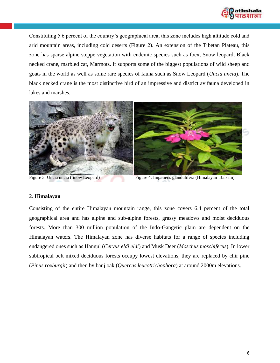

Constituting 5.6 percent of the country's geographical area, this zone includes high altitude cold and arid mountain areas, including cold deserts (Figure 2). An extension of the Tibetan Plateau, this zone has sparse alpine steppe vegetation with endemic species such as Ibex, Snow leopard, Black necked crane, marbled cat, Marmots. It supports some of the biggest populations of wild sheep and goats in the world as well as some rare species of fauna such as Snow Leopard (*Uncia uncia*). The black necked crane is the most distinctive bird of an impressive and district avifauna developed in lakes and marshes.



Figure 3: Uncia uncia (Snow Leopard) Figure 4: Impatiens glandulifera (Himalayan Balsam)

#### 2. **Himalayan**

Consisting of the entire Himalayan mountain range, this zone covers 6.4 percent of the total geographical area and has alpine and sub-alpine forests, grassy meadows and moist deciduous forests. More than 300 million population of the Indo-Gangetic plain are dependent on the Himalayan waters. The Himalayan zone has diverse habitats for a range of species including endangered ones such as Hangul (*Cervus eldi eldi*) and Musk Deer (*Moschus moschiferus*). In lower subtropical belt mixed deciduous forests occupy lowest elevations, they are replaced by chir pine (*Pinus roxburgii*) and then by banj oak (*Quercus leucotrichophora*) at around 2000m elevations.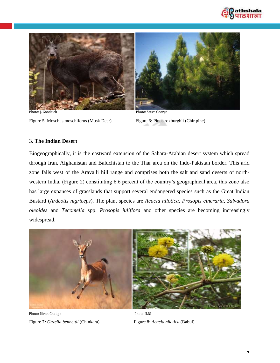



Figure 5: Moschus moschiferus (Musk Deer) Figure 6: Pinus roxburghii (Chir pine)

Photo: J. Goodrich Photo: Steve George

#### 3. **The Indian Desert**

Biogeographically, it is the eastward extension of the Sahara-Arabian desert system which spread through Iran, Afghanistan and Baluchistan to the Thar area on the Indo-Pakistan border. This arid zone falls west of the Aravalli hill range and comprises both the salt and sand deserts of northwestern India. (Figure 2) constituting 6.6 percent of the country's geographical area, this zone also has large expanses of grasslands that support several endangered species such as the Great Indian Bustard (*Ardeotis nigriceps*). The plant species are *Acacia nilotica*, *Prosopis cineraria*, *Salvadora oleoides* and *Tecomella* spp. *Prosopis juliflora* and other species are becoming increasingly widespread.



Photo: Kiran Ghadge Photo: Photo: Photo: Photo: Photo: Photo: Photo: Photo: Photo: Photo: Photo: Photo: Photo: Photo: Photo: Photo: Photo: Photo: Photo: Photo: Photo: Photo: Photo: Photo: Photo: Photo: Photo: Photo: Photo: Figure 7*: Gazella bennettii* (Chinkara) Figure 8: *Acacia nilotica* (Babul)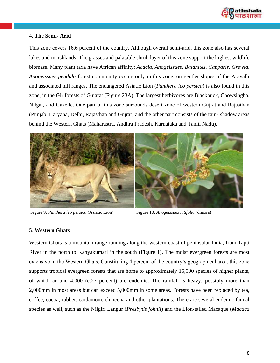

#### 4. **The Semi- Arid**

This zone covers 16.6 percent of the country. Although overall semi-arid, this zone also has several lakes and marshlands. The grasses and palatable shrub layer of this zone support the highest wildlife biomass. Many plant taxa have African affinity: *Acacia*, *Anogeissues*, *Balanites*, *Capparis*, *Grewia*. *Anogeissues pendula* forest community occurs only in this zone, on gentler slopes of the Aravalli and associated hill ranges. The endangered Asiatic Lion (*Panthera leo persica*) is also found in this zone, in the Gir forests of Gujarat (Figure 23A). The largest herbivores are Blackbuck, Chowsingha, Nilgai, and Gazelle. One part of this zone surrounds desert zone of western Gujrat and Rajasthan (Punjab, Haryana, Delhi, Rajasthan and Gujrat) and the other part consists of the rain- shadow areas behind the Western Ghats (Maharastra, Andhra Pradesh, Karnataka and Tamil Nadu).



Figure 9: *Panthera leo persica* (Asiatic Lion) Figure 10: *Anogeissues latifolia* (dhaora)

#### 5. **Western Ghats**

Western Ghats is a mountain range running along the western coast of peninsular India, from Tapti River in the north to Kanyakumari in the south (Figure 1). The moist evergreen forests are most extensive in the Western Ghats. Constituting 4 percent of the country's geographical area, this zone supports tropical evergreen forests that are home to approximately 15,000 species of higher plants, of which around 4,000 (c.27 percent) are endemic. The rainfall is heavy; possibly more than 2,000mm in most areas but can exceed 5,000mm in some areas. Forests have been replaced by tea, coffee, cocoa, rubber, cardamom, chincona and other plantations. There are several endemic faunal species as well, such as the Nilgiri Langur (*Presbytis johnii*) and the Lion-tailed Macaque (*Macaca*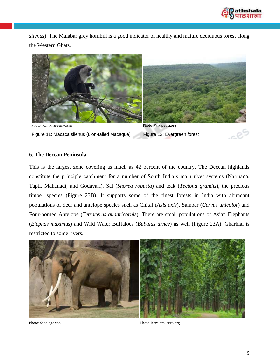

*silenus*). The Malabar grey hornbill is a good indicator of healthy and mature deciduous forest along the Western Ghats.



Figure 11: Macaca silenus (Lion-tailed Macaque) Figure 12: Evergreen forest

#### 6. **The Deccan Peninsula**

This is the largest zone covering as much as 42 percent of the country. The Deccan highlands constitute the principle catchment for a number of South India's main river systems (Narmada, Tapti, Mahanadi, and Godavari). Sal (*Shorea robusta*) and teak (*Tectona grandis*), the precious timber species (Figure 23B). It supports some of the finest forests in India with abundant populations of deer and antelope species such as Chital (*Axis axis*), Sambar (*Cervus unicolor*) and Four-horned Antelope (*Tetracerus quadricornis*). There are small populations of Asian Elephants (*Elephas maximus*) and Wild Water Buffaloes (*Bubalus arnee*) as well (Figure 23A). Gharhial is restricted to some rivers.



Photo: Sandiego.zoo Photo: Keralatourism.org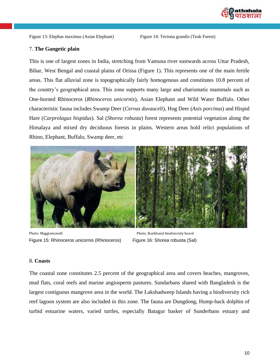

#### 7. **The Gangetic plain**

This is one of largest zones in India, stretching from Yamuna river eastwards across Uttar Pradesh, Bihar, West Bengal and coastal plains of Orissa (Figure 1). This represents one of the main fertile areas. This flat alluvial zone is topographically fairly homogenous and constitutes 10.8 percent of the country's geographical area. This zone supports many large and charismatic mammals such as One-horned Rhinoceros (*Rhinoceros unicornis*), Asian Elephant and Wild Water Buffalo. Other characteristic fauna includes Swamp Deer (*Cervus duvauceli*), Hog Deer (*Axis porcinus*) and Hispid Hare (*Carprolagus hispidus*). Sal (*Shorea robusta*) forest represents potential vegetation along the Himalaya and mixed dry deciduous forests in plains. Western areas hold relict populations of Rhino, Elephant, Buffalo, Swamp deer, etc



Photo: Maggiemcneill Photo: Jharkhand biodiversity board Figure 15: Rhinoceros unicornis (Rhinoceros) Figure 16: Shorea robusta (Sal)

#### 8. **Coasts**

The coastal zone constitutes 2.5 percent of the geographical area and covers beaches, mangroves, mud flats, coral reefs and marine angiosperm pastures. Sundarbans shared with Bangladesh is the largest contiguous mangrove area in the world. The Lakshadweep Islands having a biodiversity rich reef lagoon system are also included in this zone. The fauna are Dungdong, Hump-back dolphin of turbid estuarine waters, varied turtles, especially Batagur basker of Sunderbans estuary and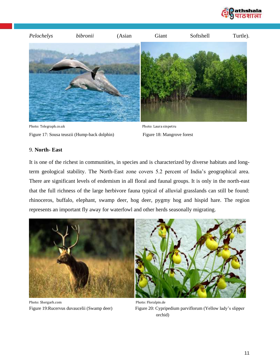



Photo: Telegraph.co.uk Photo: Laura sinpetru Figure 17: Sousa teuszii (Hump-back dolphin) Figure 18: Mangrove forest

#### 9. **North- East**

It is one of the richest in communities, in species and is characterized by diverse habitats and longterm geological stability. The North-East zone covers 5.2 percent of India's geographical area. There are significant levels of endemism in all floral and faunal groups. It is only in the north-east that the full richness of the large herbivore fauna typical of alluvial grasslands can still be found: rhinoceros, buffalo, elephant, swamp deer, hog deer, pygmy hog and hispid hare. The region represents an important fly away for waterfowl and other herds seasonally migrating.



Photo: Shergarh.com Photo: Floralpin.de

Figure 19:Rucervus duvaucelii (Swamp deer) Figure 20: Cypripedium parviflorum (Yellow lady's slipper orchid)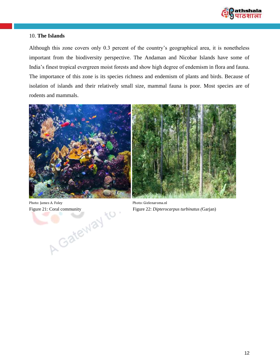

#### 10. **The Islands**

Although this zone covers only 0.3 percent of the country's geographical area, it is nonetheless important from the biodiversity perspective. The Andaman and Nicobar Islands have some of India's finest tropical evergreen moist forests and show high degree of endemism in flora and fauna. The importance of this zone is its species richness and endemism of plants and birds. Because of isolation of islands and their relatively small size, mammal fauna is poor. Most species are of rodents and mammals.



Photo: James A. Foley Photo: Gielenaroma.nl<br>
Figure 22: Dipteroc

Figure 21: Coral community Figure 22: *Dipterocarpus turbinatus (*Garjan)